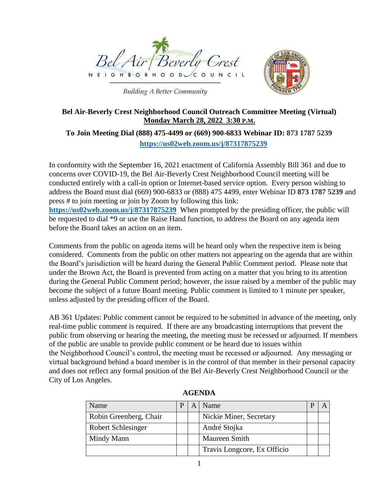



**Building A Better Community** 

#### **Bel Air-Beverly Crest Neighborhood Council Outreach Committee Meeting (Virtual) Monday March 28, 2022 3:30 P.M.**

# **To Join Meeting Dial (888) 475-4499 or (669) 900-6833 Webinar ID: 873 1787 5239 <https://us02web.zoom.us/j/87317875239>**

In conformity with the September 16, 2021 enactment of California Assembly Bill 361 and due to concerns over COVID-19, the Bel Air-Beverly Crest Neighborhood Council meeting will be conducted entirely with a call-in option or Internet-based service option. Every person wishing to address the Board must dial (669) 900-6833 or (888) 475 4499, enter Webinar ID **873 1787 5239** and press # to join meeting or join by Zoom by following this link: **<https://us02web.zoom.us/j/87317875239>**When prompted by the presiding officer, the public will be requested to dial \*9 or use the Raise Hand function, to address the Board on any agenda item before the Board takes an action on an item.

Comments from the public on agenda items will be heard only when the respective item is being considered. Comments from the public on other matters not appearing on the agenda that are within the Board's jurisdiction will be heard during the General Public Comment period. Please note that under the Brown Act, the Board is prevented from acting on a matter that you bring to its attention during the General Public Comment period; however, the issue raised by a member of the public may become the subject of a future Board meeting. Public comment is limited to 1 minute per speaker, unless adjusted by the presiding officer of the Board.

AB 361 Updates: Public comment cannot be required to be submitted in advance of the meeting, only real-time public comment is required. If there are any broadcasting interruptions that prevent the public from observing or hearing the meeting, the meeting must be recessed or adjourned. If members of the public are unable to provide public comment or be heard due to issues within the Neighborhood Council's control, the meeting must be recessed or adjourned. Any messaging or virtual background behind a board member is in the control of that member in their personal capacity and does not reflect any formal position of the Bel Air-Beverly Crest Neighborhood Council or the City of Los Angeles.

| Name                      | P | Name                        |  |
|---------------------------|---|-----------------------------|--|
| Robin Greenberg, Chair    |   | Nickie Miner, Secretary     |  |
| <b>Robert Schlesinger</b> |   | André Stojka                |  |
| Mindy Mann                |   | <b>Maureen Smith</b>        |  |
|                           |   | Travis Longcore, Ex Officio |  |

#### **AGENDA**